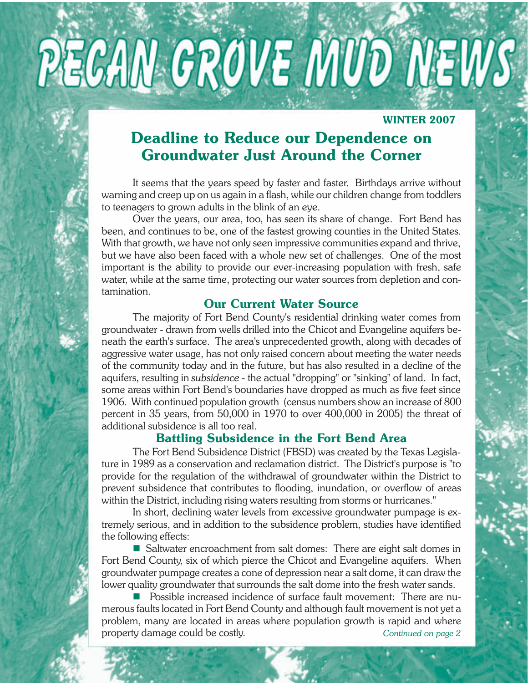

### **WINTER 2007**

# **Deadline to Reduce our Dependence on Groundwater Just Around the Corner**

It seems that the years speed by faster and faster. Birthdays arrive without warning and creep up on us again in a flash, while our children change from toddlers to teenagers to grown adults in the blink of an eye.

Over the years, our area, too, has seen its share of change. Fort Bend has been, and continues to be, one of the fastest growing counties in the United States. With that growth, we have not only seen impressive communities expand and thrive, but we have also been faced with a whole new set of challenges. One of the most important is the ability to provide our ever-increasing population with fresh, safe water, while at the same time, protecting our water sources from depletion and contamination.

### **Our Current Water Source**

The majority of Fort Bend County's residential drinking water comes from groundwater - drawn from wells drilled into the Chicot and Evangeline aquifers beneath the earth's surface. The area's unprecedented growth, along with decades of aggressive water usage, has not only raised concern about meeting the water needs of the community today and in the future, but has also resulted in a decline of the aquifers, resulting in *subsidence* - the actual "dropping" or "sinking" of land. In fact, some areas within Fort Bend's boundaries have dropped as much as five feet since 1906. With continued population growth (census numbers show an increase of 800 percent in 35 years, from 50,000 in 1970 to over 400,000 in 2005) the threat of additional subsidence is all too real.

### **Battling Subsidence in the Fort Bend Area**

The Fort Bend Subsidence District (FBSD) was created by the Texas Legislature in 1989 as a conservation and reclamation district. The District's purpose is "to provide for the regulation of the withdrawal of groundwater within the District to prevent subsidence that contributes to flooding, inundation, or overflow of areas within the District, including rising waters resulting from storms or hurricanes."

In short, declining water levels from excessive groundwater pumpage is extremely serious, and in addition to the subsidence problem, studies have identified the following effects:

**Saltwater encroachment from salt domes: There are eight salt domes in** Fort Bend County, six of which pierce the Chicot and Evangeline aquifers. When groundwater pumpage creates a cone of depression near a salt dome, it can draw the lower quality groundwater that surrounds the salt dome into the fresh water sands.

 Possible increased incidence of surface fault movement: There are numerous faults located in Fort Bend County and although fault movement is not yet a problem, many are located in areas where population growth is rapid and where property damage could be costly. *Continued on page 2*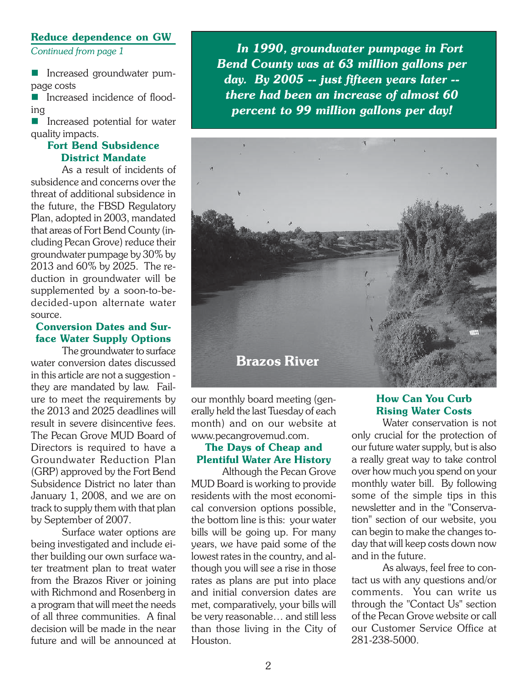#### **Reduce dependence on GW**

*Continued from page 1*

**Increased groundwater pum**page costs

■ Increased incidence of flooding

■ Increased potential for water quality impacts.

#### **Fort Bend Subsidence District Mandate**

As a result of incidents of subsidence and concerns over the threat of additional subsidence in the future, the FBSD Regulatory Plan, adopted in 2003, mandated that areas of Fort Bend County (including Pecan Grove) reduce their groundwater pumpage by 30% by 2013 and 60% by 2025. The reduction in groundwater will be supplemented by a soon-to-bedecided-upon alternate water source.

#### **Conversion Dates and Surface Water Supply Options**

The groundwater to surface water conversion dates discussed in this article are not a suggestion they are mandated by law. Failure to meet the requirements by the 2013 and 2025 deadlines will result in severe disincentive fees. The Pecan Grove MUD Board of Directors is required to have a Groundwater Reduction Plan (GRP) approved by the Fort Bend Subsidence District no later than January 1, 2008, and we are on track to supply them with that plan by September of 2007.

Surface water options are being investigated and include either building our own surface water treatment plan to treat water from the Brazos River or joining with Richmond and Rosenberg in a program that will meet the needs of all three communities. A final decision will be made in the near future and will be announced at

 *In 1990, groundwater pumpage in Fort Bend County was at 63 million gallons per day. By 2005 -- just fifteen years later - there had been an increase of almost 60 percent to 99 million gallons per day!*



our monthly board meeting (generally held the last Tuesday of each month) and on our website at www.pecangrovemud.com.

### **The Days of Cheap and Plentiful Water Are History**

Although the Pecan Grove MUD Board is working to provide residents with the most economical conversion options possible, the bottom line is this: your water bills will be going up. For many years, we have paid some of the lowest rates in the country, and although you will see a rise in those rates as plans are put into place and initial conversion dates are met, comparatively, your bills will be very reasonable… and still less than those living in the City of Houston.

### **How Can You Curb Rising Water Costs**

Water conservation is not only crucial for the protection of our future water supply, but is also a really great way to take control over how much you spend on your monthly water bill. By following some of the simple tips in this newsletter and in the "Conservation" section of our website, you can begin to make the changes today that will keep costs down now and in the future.

As always, feel free to contact us with any questions and/or comments. You can write us through the "Contact Us" section of the Pecan Grove website or call our Customer Service Office at 281-238-5000.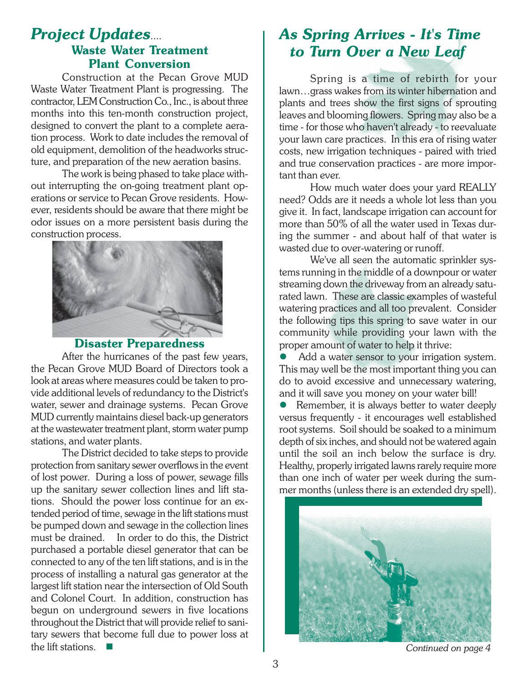## *Project Updates*.... **Waste Water Treatment Plant Conversion**

Construction at the Pecan Grove MUD Waste Water Treatment Plant is progressing. The contractor, LEM Construction Co., Inc., is about three months into this ten-month construction project, designed to convert the plant to a complete aeration process. Work to date includes the removal of old equipment, demolition of the headworks structure, and preparation of the new aeration basins.

The work is being phased to take place without interrupting the on-going treatment plant operations or service to Pecan Grove residents. However, residents should be aware that there might be odor issues on a more persistent basis during the construction process.



### **Disaster Preparedness**

After the hurricanes of the past few years, the Pecan Grove MUD Board of Directors took a look at areas where measures could be taken to provide additional levels of redundancy to the District's water, sewer and drainage systems. Pecan Grove MUD currently maintains diesel back-up generators at the wastewater treatment plant, storm water pump stations, and water plants.

The District decided to take steps to provide protection from sanitary sewer overflows in the event of lost power. During a loss of power, sewage fills up the sanitary sewer collection lines and lift stations. Should the power loss continue for an extended period of time, sewage in the lift stations must be pumped down and sewage in the collection lines must be drained. In order to do this, the District purchased a portable diesel generator that can be connected to any of the ten lift stations, and is in the process of installing a natural gas generator at the largest lift station near the intersection of Old South and Colonel Court. In addition, construction has begun on underground sewers in five locations throughout the District that will provide relief to sanitary sewers that become full due to power loss at the lift stations.

# *As Spring Arrives - It's Time to Turn Over a New Leaf*

Spring is a time of rebirth for your lawn…grass wakes from its winter hibernation and plants and trees show the first signs of sprouting leaves and blooming flowers. Spring may also be a time - for those who haven't already - to reevaluate your lawn care practices. In this era of rising water costs, new irrigation techniques - paired with tried and true conservation practices - are more important than ever.

How much water does your yard REALLY need? Odds are it needs a whole lot less than you give it. In fact, landscape irrigation can account for more than 50% of all the water used in Texas during the summer - and about half of that water is wasted due to over-watering or runoff.

We've all seen the automatic sprinkler systems running in the middle of a downpour or water streaming down the driveway from an already saturated lawn. These are classic examples of wasteful watering practices and all too prevalent. Consider the following tips this spring to save water in our community while providing your lawn with the proper amount of water to help it thrive:

Add a water sensor to your irrigation system. This may well be the most important thing you can do to avoid excessive and unnecessary watering, and it will save you money on your water bill!

 $\bullet$  Remember, it is always better to water deeply versus frequently - it encourages well established root systems. Soil should be soaked to a minimum depth of six inches, and should not be watered again until the soil an inch below the surface is dry. Healthy, properly irrigated lawns rarely require more than one inch of water per week during the summer months (unless there is an extended dry spell).



*Continued on page 4*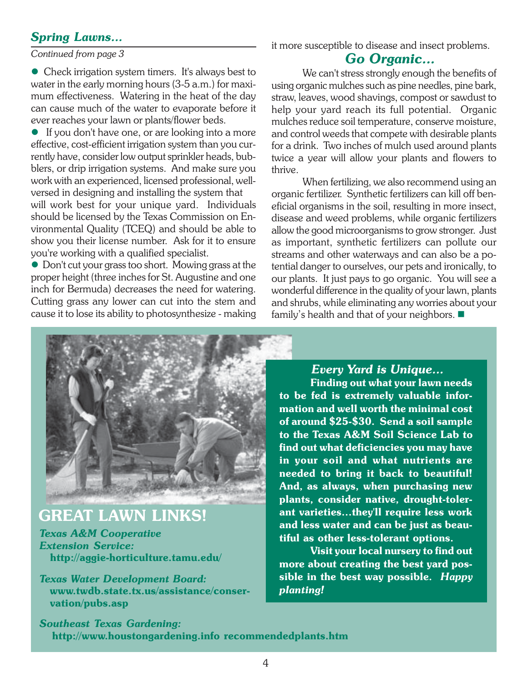### *Spring Lawns...*

*Continued from page 3*

• Check irrigation system timers. It's always best to water in the early morning hours (3-5 a.m.) for maximum effectiveness. Watering in the heat of the day can cause much of the water to evaporate before it ever reaches your lawn or plants/flower beds.

 $\bullet$  If you don't have one, or are looking into a more effective, cost-efficient irrigation system than you currently have, consider low output sprinkler heads, bubblers, or drip irrigation systems. And make sure you work with an experienced, licensed professional, wellversed in designing and installing the system that will work best for your unique yard. Individuals should be licensed by the Texas Commission on Environmental Quality (TCEQ) and should be able to show you their license number. Ask for it to ensure you're working with a qualified specialist.

• Don't cut your grass too short. Mowing grass at the proper height (three inches for St. Augustine and one inch for Bermuda) decreases the need for watering. Cutting grass any lower can cut into the stem and cause it to lose its ability to photosynthesize - making

# it more susceptible to disease and insect problems.

## *Go Organic...*

We can't stress strongly enough the benefits of using organic mulches such as pine needles, pine bark, straw, leaves, wood shavings, compost or sawdust to help your yard reach its full potential. Organic mulches reduce soil temperature, conserve moisture, and control weeds that compete with desirable plants for a drink. Two inches of mulch used around plants twice a year will allow your plants and flowers to thrive.

When fertilizing, we also recommend using an organic fertilizer. Synthetic fertilizers can kill off beneficial organisms in the soil, resulting in more insect, disease and weed problems, while organic fertilizers allow the good microorganisms to grow stronger. Just as important, synthetic fertilizers can pollute our streams and other waterways and can also be a potential danger to ourselves, our pets and ironically, to our plants. It just pays to go organic. You will see a wonderful difference in the quality of your lawn, plants and shrubs, while eliminating any worries about your family's health and that of your neighbors.



# **GREAT LAWN LINKS!**

*Texas A&M Cooperative Extension Service:*  **http://aggie-horticulture.tamu.edu/**

*Texas Water Development Board:*  **www.twdb.state.tx.us/assistance/conser vation/pubs.asp**

### *Every Yard is Unique...*

**Finding out what your lawn needs to be fed is extremely valuable information and well worth the minimal cost of around \$25-\$30. Send a soil sample to the Texas A&M Soil Science Lab to find out what deficiencies you may have in your soil and what nutrients are needed to bring it back to beautiful! And, as always, when purchasing new plants, consider native, drought-tolerant varieties…they'll require less work and less water and can be just as beautiful as other less-tolerant options.**

**Visit your local nursery to find out more about creating the best yard possible in the best way possible.** *Happy planting!*

*Southeast Texas Gardening:*  **http://www.houstongardening.info recommendedplants.htm**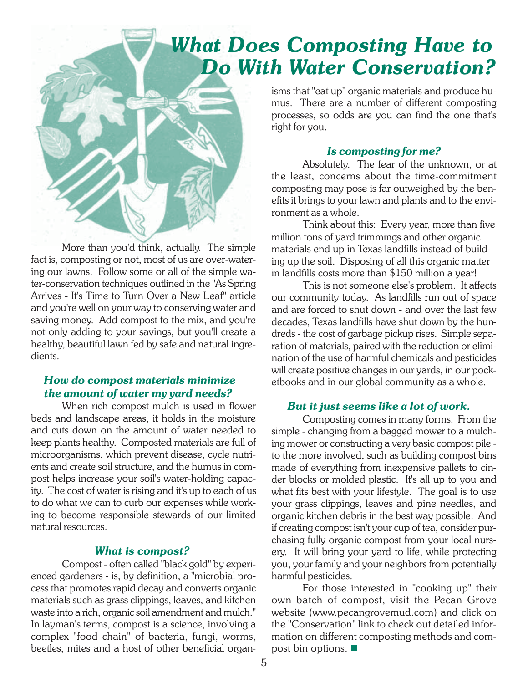# *What Does Composting Have to Do With Water Conservation?*



More than you'd think, actually. The simple fact is, composting or not, most of us are over-watering our lawns. Follow some or all of the simple water-conservation techniques outlined in the "As Spring Arrives - It's Time to Turn Over a New Leaf" article and you're well on your way to conserving water and saving money. Add compost to the mix, and you're not only adding to your savings, but you'll create a healthy, beautiful lawn fed by safe and natural ingredients.

### *How do compost materials minimize the amount of water my yard needs?*

When rich compost mulch is used in flower beds and landscape areas, it holds in the moisture and cuts down on the amount of water needed to keep plants healthy. Composted materials are full of microorganisms, which prevent disease, cycle nutrients and create soil structure, and the humus in compost helps increase your soil's water-holding capacity. The cost of water is rising and it's up to each of us to do what we can to curb our expenses while working to become responsible stewards of our limited natural resources.

### *What is compost?*

Compost - often called "black gold" by experienced gardeners - is, by definition, a "microbial process that promotes rapid decay and converts organic materials such as grass clippings, leaves, and kitchen waste into a rich, organic soil amendment and mulch." In layman's terms, compost is a science, involving a complex "food chain" of bacteria, fungi, worms, beetles, mites and a host of other beneficial organisms that "eat up" organic materials and produce humus. There are a number of different composting processes, so odds are you can find the one that's right for you.

### *Is composting for me?*

Absolutely. The fear of the unknown, or at the least, concerns about the time-commitment composting may pose is far outweighed by the benefits it brings to your lawn and plants and to the environment as a whole.

Think about this: Every year, more than five million tons of yard trimmings and other organic materials end up in Texas landfills instead of building up the soil. Disposing of all this organic matter in landfills costs more than \$150 million a year!

This is not someone else's problem. It affects our community today. As landfills run out of space and are forced to shut down - and over the last few decades, Texas landfills have shut down by the hundreds - the cost of garbage pickup rises. Simple separation of materials, paired with the reduction or elimination of the use of harmful chemicals and pesticides will create positive changes in our yards, in our pocketbooks and in our global community as a whole.

### *But it just seems like a lot of work.*

Composting comes in many forms. From the simple - changing from a bagged mower to a mulching mower or constructing a very basic compost pile to the more involved, such as building compost bins made of everything from inexpensive pallets to cinder blocks or molded plastic. It's all up to you and what fits best with your lifestyle. The goal is to use your grass clippings, leaves and pine needles, and organic kitchen debris in the best way possible. And if creating compost isn't your cup of tea, consider purchasing fully organic compost from your local nursery. It will bring your yard to life, while protecting you, your family and your neighbors from potentially harmful pesticides.

For those interested in "cooking up" their own batch of compost, visit the Pecan Grove website (www.pecangrovemud.com) and click on the "Conservation" link to check out detailed information on different composting methods and compost bin options.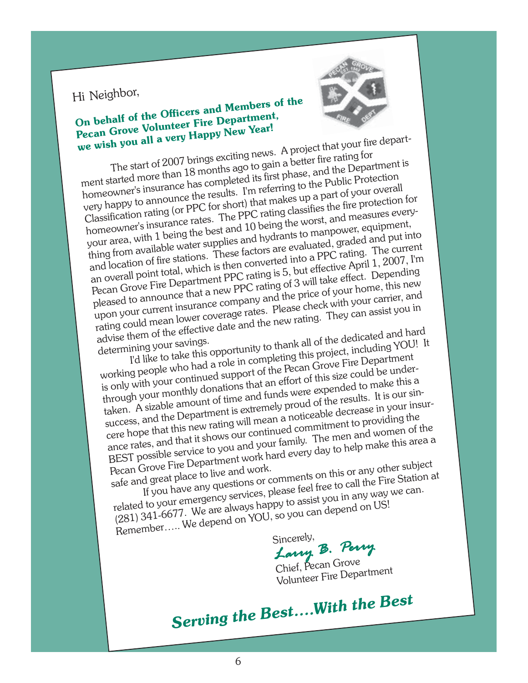# Hi Neighbor,

# **On behalf of the Officers and Members of the Pecan Grove Volunteer Fire Department, we wish you all a very Happy New Year!**



The start of 2007 brings exciting news. A project that your fire department started more than 18 months ago to gain a better fire rating for homeowner's insurance has completed its first phase, and the Department is very happy to announce the results. I'm referring to the Public Protection Classification rating (or PPC for short) that makes up a part of your overall homeowner's insurance rates. The PPC rating classifies the fire protection for your area, with 1 being the best and 10 being the worst, and measures everything from available water supplies and hydrants to manpower, equipment, and location of fire stations. These factors are evaluated, graded and put into an overall point total, which is then converted into a PPC rating. The current Pecan Grove Fire Department PPC rating is 5, but effective April 1, 2007, I'm pleased to announce that a new PPC rating of 3 will take effect. Depending upon your current insurance company and the price of your home, this new rating could mean lower coverage rates. Please check with your carrier, and advise them of the effective date and the new rating. They can assist you in advise them of the effective date and the new rating. They can assist you in determining your savings.

I'd like to take this opportunity to thank all of the dedicated and hard

determining your savings.<br>
I'd like to take this opportunity to thank all of the dedicated are project including YOU! It<br>
working people who had a role in completing this project, including YOU! It<br>
working people who had is only with your continued support of the Pecan Grove Fire Department through your monthly donations that an effort of this size could be undertaken. A sizable amount of time and funds were expended to make this a success, and the Department is extremely proud of the results. It is our sincere hope that this new rating will mean a noticeable decrease in your insurance rates, and that it shows our continued commitment to providing the BEST possible service to you and your family. The men and women of the Pecan Grove Fire Department work hard every day to help make this area a

safe and great place to live and work. If you have any questions or comments on this or any other subject related to your emergency services, please feel free to call the Fire Station at

(281) 341-6677. We are always happy to assist you in any way we can. Remember..... We depend on YOU, so you can depend on US!

Sincerely,

*Larry B. P arry B. Perry* Chief, Pecan Grove

Chief, Pecan Grove<br>Volunteer Fire Department

*Serving the Best….With the Best*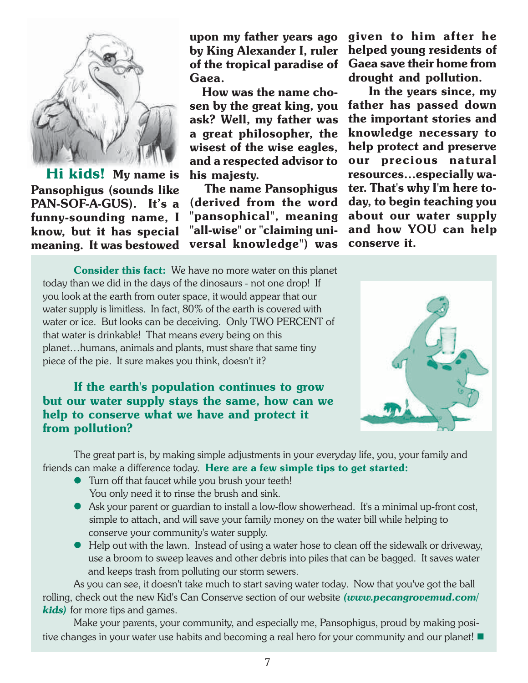

**kids!** My name is **Pansophigus (sounds like PAN-SOF-A-GUS). It's a funny-sounding name, I know, but it has special meaning. It was bestowed**

**upon my father years ago by King Alexander I, ruler of the tropical paradise of Gaea.**

 **How was the name chosen by the great king, you ask? Well, my father was a great philosopher, the wisest of the wise eagles, and a respected advisor to his majesty.**

 **The name Pansophigus (derived from the word "pansophical", meaning "all-wise" or "claiming universal knowledge") was** **given to him after he helped young residents of Gaea save their home from drought and pollution.**

 **In the years since, my father has passed down the important stories and knowledge necessary to help protect and preserve our precious natural resources…especially water. That's why I'm here today, to begin teaching you about our water supply and how YOU can help conserve it.**

**Consider this fact:** We have no more water on this planet today than we did in the days of the dinosaurs - not one drop! If you look at the earth from outer space, it would appear that our water supply is limitless. In fact, 80% of the earth is covered with water or ice. But looks can be deceiving. Only TWO PERCENT of that water is drinkable! That means every being on this planet…humans, animals and plants, must share that same tiny piece of the pie. It sure makes you think, doesn't it?

**If the earth's population continues to grow but our water supply stays the same, how can we help to conserve what we have and protect it from pollution?**



The great part is, by making simple adjustments in your everyday life, you, your family and friends can make a difference today. **Here are a few simple tips to get started:**

- **•** Turn off that faucet while you brush your teeth! You only need it to rinse the brush and sink.
- Ask your parent or guardian to install a low-flow showerhead. It's a minimal up-front cost, simple to attach, and will save your family money on the water bill while helping to conserve your community's water supply.
- Help out with the lawn. Instead of using a water hose to clean off the sidewalk or driveway, use a broom to sweep leaves and other debris into piles that can be bagged. It saves water and keeps trash from polluting our storm sewers.

As you can see, it doesn't take much to start saving water today. Now that you've got the ball rolling, check out the new Kid's Can Conserve section of our website *(www.pecangrovemud.com/ kids)* for more tips and games.

Make your parents, your community, and especially me, Pansophigus, proud by making positive changes in your water use habits and becoming a real hero for your community and our planet!